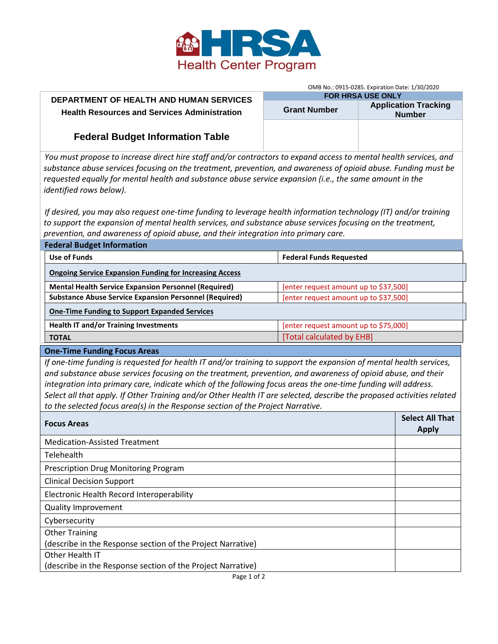

## **DEPARTMENT OF HEALTH AND HUMAN SERVICES Health Resources and Services Administration**

| OMB No.: 0915-0285. Expiration Date: 1/30/2020 |  |  |  |  |  |  |  |
|------------------------------------------------|--|--|--|--|--|--|--|
|                                                |  |  |  |  |  |  |  |

| <b>FOR HRSA USE ONLY</b> |                                              |  |  |  |  |
|--------------------------|----------------------------------------------|--|--|--|--|
| <b>Grant Number</b>      | <b>Application Tracking</b><br><b>Number</b> |  |  |  |  |
|                          |                                              |  |  |  |  |

# **Federal Budget Information Table**

*You must propose to increase direct hire staff and/or contractors to expand access to mental health services, and substance abuse services focusing on the treatment, prevention, and awareness of opioid abuse. Funding must be requested equally for mental health and substance abuse service expansion (i.e., the same amount in the identified rows below).* 

*If desired, you may also request one-time funding to leverage health information technology (IT) and/or training to support the expansion of mental health services, and substance abuse services focusing on the treatment, prevention, and awareness of opioid abuse, and their integration into primary care.* 

| <b>Federal Budget Information</b>                              |                                       |  |  |  |  |  |
|----------------------------------------------------------------|---------------------------------------|--|--|--|--|--|
| Use of Funds                                                   | <b>Federal Funds Requested</b>        |  |  |  |  |  |
| <b>Ongoing Service Expansion Funding for Increasing Access</b> |                                       |  |  |  |  |  |
| <b>Mental Health Service Expansion Personnel (Required)</b>    | [enter request amount up to \$37,500] |  |  |  |  |  |
| <b>Substance Abuse Service Expansion Personnel (Required)</b>  | [enter request amount up to \$37,500] |  |  |  |  |  |
| <b>One-Time Funding to Support Expanded Services</b>           |                                       |  |  |  |  |  |
| <b>Health IT and/or Training Investments</b>                   | [enter request amount up to \$75,000] |  |  |  |  |  |
| <b>TOTAL</b>                                                   | [Total calculated by EHB]             |  |  |  |  |  |

#### **One-Time Funding Focus Areas**

*If one-time funding is requested for health IT and/or training to support the expansion of mental health services, and substance abuse services focusing on the treatment, prevention, and awareness of opioid abuse, and their integration into primary care, indicate which of the following focus areas the one-time funding will address. Select all that apply. If Other Training and/or Other Health IT are selected, describe the proposed activities related to the selected focus area(s) in the Response section of the Project Narrative.*

| <b>Focus Areas</b>                                          | <b>Select All That</b><br><b>Apply</b> |
|-------------------------------------------------------------|----------------------------------------|
| <b>Medication-Assisted Treatment</b>                        |                                        |
| Telehealth                                                  |                                        |
| <b>Prescription Drug Monitoring Program</b>                 |                                        |
| <b>Clinical Decision Support</b>                            |                                        |
| Electronic Health Record Interoperability                   |                                        |
| <b>Quality Improvement</b>                                  |                                        |
| Cybersecurity                                               |                                        |
| <b>Other Training</b>                                       |                                        |
| (describe in the Response section of the Project Narrative) |                                        |
| Other Health IT                                             |                                        |
| (describe in the Response section of the Project Narrative) |                                        |